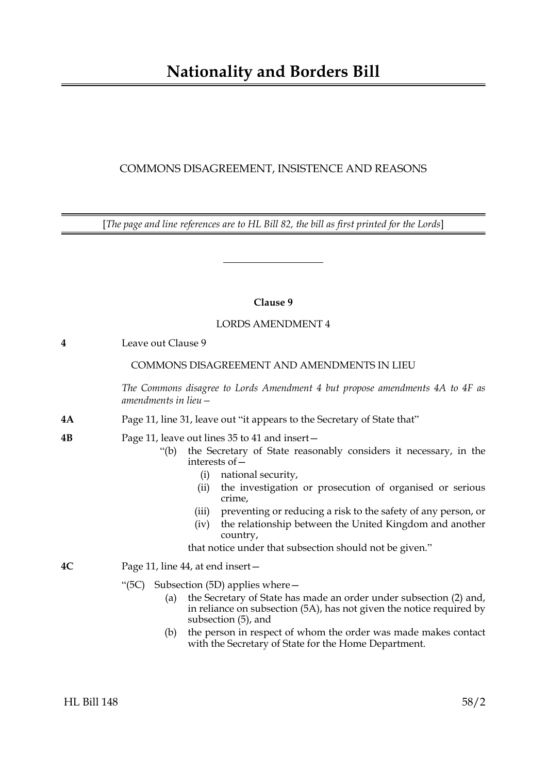# COMMONS DISAGREEMENT, INSISTENCE AND REASONS

[*The page and line references are to HL Bill 82, the bill as first printed for the Lords*]

# **Clause 9**

# LORDS AMENDMENT 4

**4** Leave out Clause 9

# COMMONS DISAGREEMENT AND AMENDMENTS IN LIEU

*The Commons disagree to Lords Amendment 4 but propose amendments 4A to 4F as amendments in lieu—*

- **4A** Page 11, line 31, leave out "it appears to the Secretary of State that"
- **4B** Page 11, leave out lines 35 to 41 and insert—
	- "(b) the Secretary of State reasonably considers it necessary, in the interests of—
		- (i) national security,
		- (ii) the investigation or prosecution of organised or serious crime,
		- (iii) preventing or reducing a risk to the safety of any person, or
		- (iv) the relationship between the United Kingdom and another country,

that notice under that subsection should not be given."

- **4C** Page 11, line 44, at end insert—
	- "(5C) Subsection (5D) applies where—
		- (a) the Secretary of State has made an order under subsection (2) and, in reliance on subsection (5A), has not given the notice required by subsection (5), and
		- (b) the person in respect of whom the order was made makes contact with the Secretary of State for the Home Department.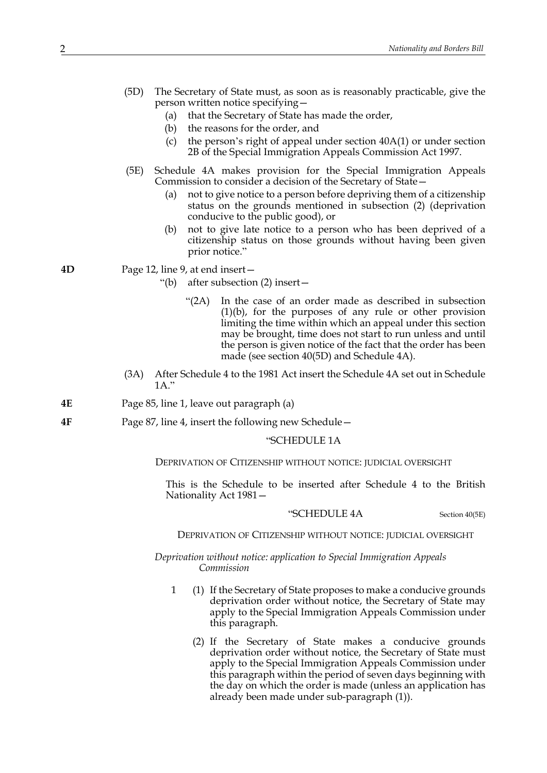- (5D) The Secretary of State must, as soon as is reasonably practicable, give the person written notice specifying—
	- (a) that the Secretary of State has made the order,
	- (b) the reasons for the order, and
	- (c) the person's right of appeal under section 40A(1) or under section 2B of the Special Immigration Appeals Commission Act 1997.
- (5E) Schedule 4A makes provision for the Special Immigration Appeals Commission to consider a decision of the Secretary of State—
	- (a) not to give notice to a person before depriving them of a citizenship status on the grounds mentioned in subsection (2) (deprivation conducive to the public good), or
	- (b) not to give late notice to a person who has been deprived of a citizenship status on those grounds without having been given prior notice."
- **4D** Page 12, line 9, at end insert—
	- "(b) after subsection (2) insert—
		- "(2A) In the case of an order made as described in subsection (1)(b), for the purposes of any rule or other provision limiting the time within which an appeal under this section may be brought, time does not start to run unless and until the person is given notice of the fact that the order has been made (see section 40(5D) and Schedule 4A).
	- (3A) After Schedule 4 to the 1981 Act insert the Schedule 4A set out in Schedule 1A."
- **4E** Page 85, line 1, leave out paragraph (a)
- **4F** Page 87, line 4, insert the following new Schedule—

#### "SCHEDULE 1A

DEPRIVATION OF CITIZENSHIP WITHOUT NOTICE: JUDICIAL OVERSIGHT

This is the Schedule to be inserted after Schedule 4 to the British Nationality Act 1981—

#### "SCHEDULE 4A Section 40(5E)

#### DEPRIVATION OF CITIZENSHIP WITHOUT NOTICE: JUDICIAL OVERSIGHT

*Deprivation without notice: application to Special Immigration Appeals Commission*

- 1 (1) If the Secretary of State proposes to make a conducive grounds deprivation order without notice, the Secretary of State may apply to the Special Immigration Appeals Commission under this paragraph.
	- (2) If the Secretary of State makes a conducive grounds deprivation order without notice, the Secretary of State must apply to the Special Immigration Appeals Commission under this paragraph within the period of seven days beginning with the day on which the order is made (unless an application has already been made under sub-paragraph (1)).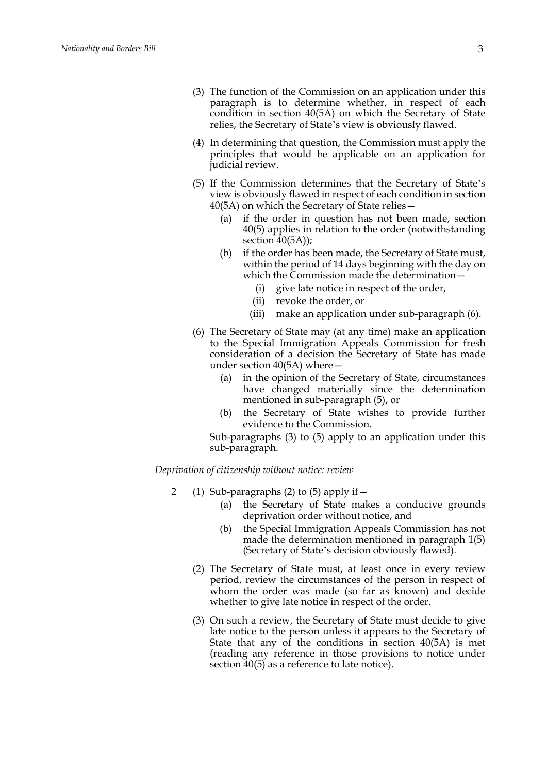- (3) The function of the Commission on an application under this paragraph is to determine whether, in respect of each condition in section 40(5A) on which the Secretary of State relies, the Secretary of State's view is obviously flawed.
- (4) In determining that question, the Commission must apply the principles that would be applicable on an application for judicial review.
- (5) If the Commission determines that the Secretary of State's view is obviously flawed in respect of each condition in section 40(5A) on which the Secretary of State relies—
	- (a) if the order in question has not been made, section 40(5) applies in relation to the order (notwithstanding section  $40(5A)$ ;
	- (b) if the order has been made, the Secretary of State must, within the period of 14 days beginning with the day on which the Commission made the determination—
		- (i) give late notice in respect of the order,
		- (ii) revoke the order, or
		- (iii) make an application under sub-paragraph (6).
- (6) The Secretary of State may (at any time) make an application to the Special Immigration Appeals Commission for fresh consideration of a decision the Secretary of State has made under section 40(5A) where—
	- (a) in the opinion of the Secretary of State, circumstances have changed materially since the determination mentioned in sub-paragraph (5), or
	- (b) the Secretary of State wishes to provide further evidence to the Commission.

Sub-paragraphs (3) to (5) apply to an application under this sub-paragraph.

*Deprivation of citizenship without notice: review*

- 2 (1) Sub-paragraphs (2) to (5) apply if—
	- (a) the Secretary of State makes a conducive grounds deprivation order without notice, and
	- (b) the Special Immigration Appeals Commission has not made the determination mentioned in paragraph 1(5) (Secretary of State's decision obviously flawed).
	- (2) The Secretary of State must, at least once in every review period, review the circumstances of the person in respect of whom the order was made (so far as known) and decide whether to give late notice in respect of the order.
	- (3) On such a review, the Secretary of State must decide to give late notice to the person unless it appears to the Secretary of State that any of the conditions in section 40(5A) is met (reading any reference in those provisions to notice under section 40(5) as a reference to late notice).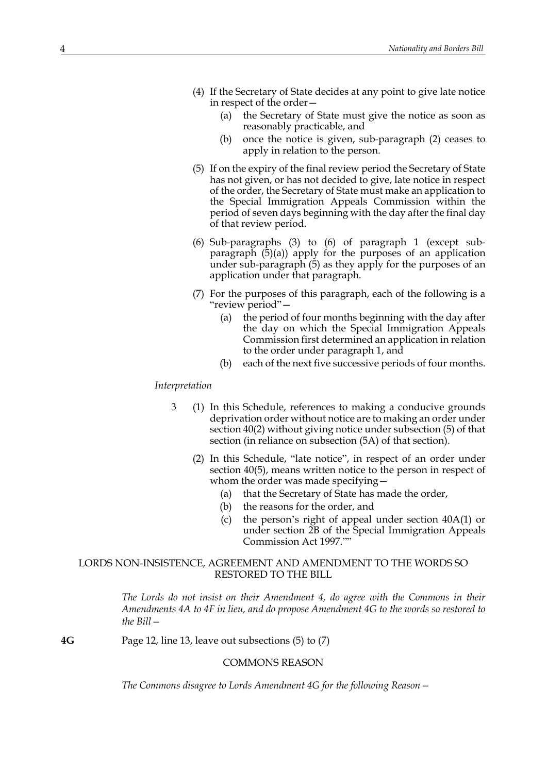- (4) If the Secretary of State decides at any point to give late notice in respect of the order—
	- (a) the Secretary of State must give the notice as soon as reasonably practicable, and
	- (b) once the notice is given, sub-paragraph (2) ceases to apply in relation to the person.
- (5) If on the expiry of the final review period the Secretary of State has not given, or has not decided to give, late notice in respect of the order, the Secretary of State must make an application to the Special Immigration Appeals Commission within the period of seven days beginning with the day after the final day of that review period.
- (6) Sub-paragraphs (3) to (6) of paragraph 1 (except subparagraph (5)(a)) apply for the purposes of an application under sub-paragraph (5) as they apply for the purposes of an application under that paragraph.
- (7) For the purposes of this paragraph, each of the following is a "review period"—
	- (a) the period of four months beginning with the day after the day on which the Special Immigration Appeals Commission first determined an application in relation to the order under paragraph 1, and
	- (b) each of the next five successive periods of four months.

#### *Interpretation*

- 3 (1) In this Schedule, references to making a conducive grounds deprivation order without notice are to making an order under section 40(2) without giving notice under subsection (5) of that section (in reliance on subsection (5A) of that section).
	- (2) In this Schedule, "late notice", in respect of an order under section 40(5), means written notice to the person in respect of whom the order was made specifying—
		- (a) that the Secretary of State has made the order,
		- (b) the reasons for the order, and
		- (c) the person's right of appeal under section 40A(1) or under section 2B of the Special Immigration Appeals Commission Act 1997.""

## LORDS NON-INSISTENCE, AGREEMENT AND AMENDMENT TO THE WORDS SO RESTORED TO THE BILL

*The Lords do not insist on their Amendment 4, do agree with the Commons in their Amendments 4A to 4F in lieu, and do propose Amendment 4G to the words so restored to the Bill—*

**4G** Page 12, line 13, leave out subsections (5) to (7)

#### COMMONS REASON

*The Commons disagree to Lords Amendment 4G for the following Reason—*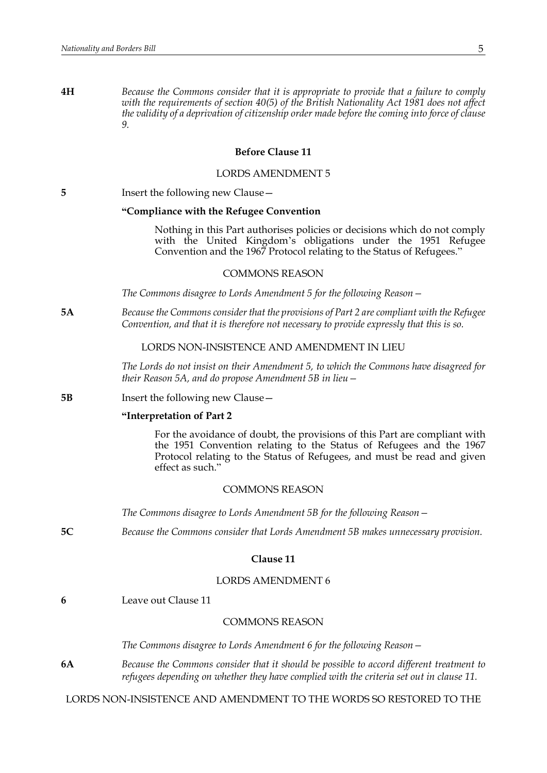**4H** *Because the Commons consider that it is appropriate to provide that a failure to comply with the requirements of section 40(5) of the British Nationality Act 1981 does not affect the validity of a deprivation of citizenship order made before the coming into force of clause 9.*

## **Before Clause 11**

#### LORDS AMENDMENT 5

| Insert the following new Clause -<br>5 |  |
|----------------------------------------|--|
|----------------------------------------|--|

#### **"Compliance with the Refugee Convention**

Nothing in this Part authorises policies or decisions which do not comply with the United Kingdom's obligations under the 1951 Refugee Convention and the 1967 Protocol relating to the Status of Refugees."

#### COMMONS REASON

*The Commons disagree to Lords Amendment 5 for the following Reason—*

**5A** *Because the Commons consider that the provisions of Part 2 are compliant with the Refugee Convention, and that it is therefore not necessary to provide expressly that this is so.*

## LORDS NON-INSISTENCE AND AMENDMENT IN LIEU

*The Lords do not insist on their Amendment 5, to which the Commons have disagreed for their Reason 5A, and do propose Amendment 5B in lieu—*

**5B** Insert the following new Clause —

#### **"Interpretation of Part 2**

For the avoidance of doubt, the provisions of this Part are compliant with the 1951 Convention relating to the Status of Refugees and the 1967 Protocol relating to the Status of Refugees, and must be read and given effect as such."

#### COMMONS REASON

*The Commons disagree to Lords Amendment 5B for the following Reason—* 

**5C** *Because the Commons consider that Lords Amendment 5B makes unnecessary provision.*

#### **Clause 11**

## LORDS AMENDMENT 6

**6** Leave out Clause 11

# COMMONS REASON

*The Commons disagree to Lords Amendment 6 for the following Reason—*

**6A** *Because the Commons consider that it should be possible to accord different treatment to refugees depending on whether they have complied with the criteria set out in clause 11.*

LORDS NON-INSISTENCE AND AMENDMENT TO THE WORDS SO RESTORED TO THE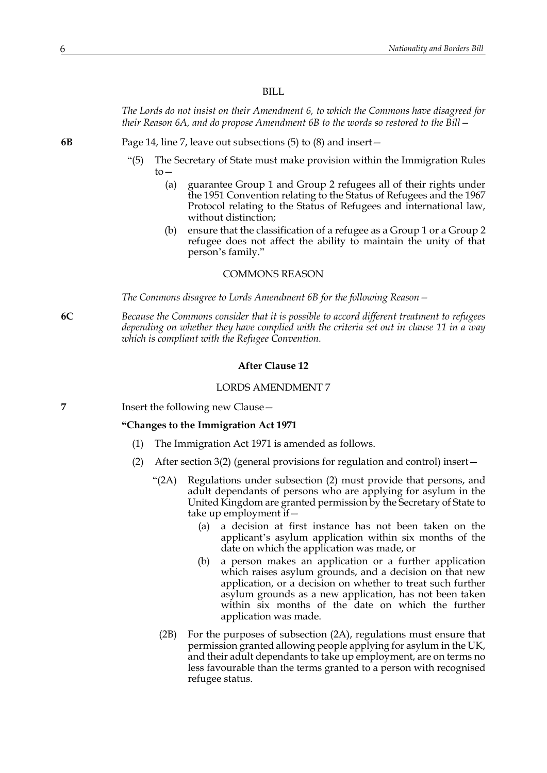#### BILL

*The Lords do not insist on their Amendment 6, to which the Commons have disagreed for their Reason 6A, and do propose Amendment 6B to the words so restored to the Bill—*

**6B** Page 14, line 7, leave out subsections (5) to (8) and insert—

- "(5) The Secretary of State must make provision within the Immigration Rules to—
	- (a) guarantee Group 1 and Group 2 refugees all of their rights under the 1951 Convention relating to the Status of Refugees and the 1967 Protocol relating to the Status of Refugees and international law, without distinction;
	- (b) ensure that the classification of a refugee as a Group 1 or a Group 2 refugee does not affect the ability to maintain the unity of that person's family."

#### COMMONS REASON

*The Commons disagree to Lords Amendment 6B for the following Reason—* 

**6C** *Because the Commons consider that it is possible to accord different treatment to refugees depending on whether they have complied with the criteria set out in clause 11 in a way which is compliant with the Refugee Convention.*

## **After Clause 12**

#### LORDS AMENDMENT 7

**7** Insert the following new Clause—

#### **"Changes to the Immigration Act 1971**

- (1) The Immigration Act 1971 is amended as follows.
- (2) After section 3(2) (general provisions for regulation and control) insert—
	- "(2A) Regulations under subsection (2) must provide that persons, and adult dependants of persons who are applying for asylum in the United Kingdom are granted permission by the Secretary of State to take up employment if—
		- (a) a decision at first instance has not been taken on the applicant's asylum application within six months of the date on which the application was made, or
		- (b) a person makes an application or a further application which raises asylum grounds, and a decision on that new application, or a decision on whether to treat such further asylum grounds as a new application, has not been taken within six months of the date on which the further application was made.
		- (2B) For the purposes of subsection (2A), regulations must ensure that permission granted allowing people applying for asylum in the UK, and their adult dependants to take up employment, are on terms no less favourable than the terms granted to a person with recognised refugee status.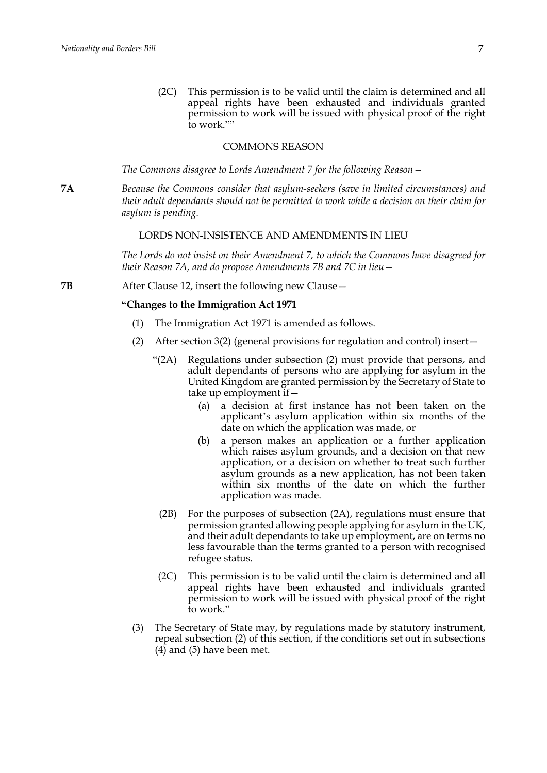(2C) This permission is to be valid until the claim is determined and all appeal rights have been exhausted and individuals granted permission to work will be issued with physical proof of the right to work.""

#### COMMONS REASON

*The Commons disagree to Lords Amendment 7 for the following Reason—*

**7A** *Because the Commons consider that asylum-seekers (save in limited circumstances) and their adult dependants should not be permitted to work while a decision on their claim for asylum is pending.*

#### LORDS NON-INSISTENCE AND AMENDMENTS IN LIEU

*The Lords do not insist on their Amendment 7, to which the Commons have disagreed for their Reason 7A, and do propose Amendments 7B and 7C in lieu—*

**7B** After Clause 12, insert the following new Clause -

#### **"Changes to the Immigration Act 1971**

- (1) The Immigration Act 1971 is amended as follows.
- (2) After section 3(2) (general provisions for regulation and control) insert—
	- "(2A) Regulations under subsection (2) must provide that persons, and adult dependants of persons who are applying for asylum in the United Kingdom are granted permission by the Secretary of State to take up employment if—
		- (a) a decision at first instance has not been taken on the applicant's asylum application within six months of the date on which the application was made, or
		- (b) a person makes an application or a further application which raises asylum grounds, and a decision on that new application, or a decision on whether to treat such further asylum grounds as a new application, has not been taken within six months of the date on which the further application was made.
		- (2B) For the purposes of subsection (2A), regulations must ensure that permission granted allowing people applying for asylum in the UK, and their adult dependants to take up employment, are on terms no less favourable than the terms granted to a person with recognised refugee status.
	- (2C) This permission is to be valid until the claim is determined and all appeal rights have been exhausted and individuals granted permission to work will be issued with physical proof of the right to work."
- (3) The Secretary of State may, by regulations made by statutory instrument, repeal subsection (2) of this section, if the conditions set out in subsections (4) and (5) have been met.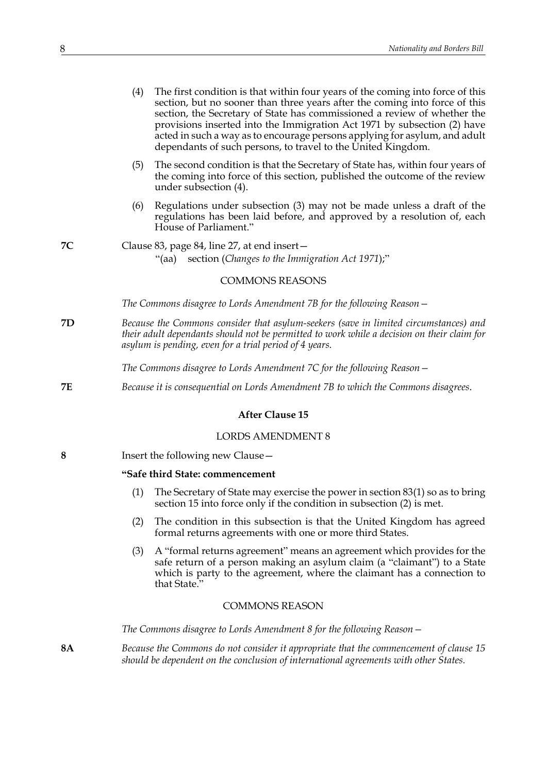|           | (4)<br>The first condition is that within four years of the coming into force of this<br>section, but no sooner than three years after the coming into force of this<br>section, the Secretary of State has commissioned a review of whether the<br>provisions inserted into the Immigration Act 1971 by subsection (2) have<br>acted in such a way as to encourage persons applying for asylum, and adult<br>dependants of such persons, to travel to the United Kingdom. |
|-----------|----------------------------------------------------------------------------------------------------------------------------------------------------------------------------------------------------------------------------------------------------------------------------------------------------------------------------------------------------------------------------------------------------------------------------------------------------------------------------|
|           | The second condition is that the Secretary of State has, within four years of<br>(5)<br>the coming into force of this section, published the outcome of the review<br>under subsection (4).                                                                                                                                                                                                                                                                                |
|           | (6)<br>Regulations under subsection (3) may not be made unless a draft of the<br>regulations has been laid before, and approved by a resolution of, each<br>House of Parliament."                                                                                                                                                                                                                                                                                          |
| 7C        | Clause 83, page 84, line 27, at end insert -<br>section (Changes to the Immigration Act 1971);"<br>"(aa)                                                                                                                                                                                                                                                                                                                                                                   |
|           | <b>COMMONS REASONS</b>                                                                                                                                                                                                                                                                                                                                                                                                                                                     |
|           | The Commons disagree to Lords Amendment 7B for the following Reason –                                                                                                                                                                                                                                                                                                                                                                                                      |
| 7D        | Because the Commons consider that asylum-seekers (save in limited circumstances) and<br>their adult dependants should not be permitted to work while a decision on their claim for<br>asylum is pending, even for a trial period of 4 years.                                                                                                                                                                                                                               |
|           | The Commons disagree to Lords Amendment 7C for the following Reason $-$                                                                                                                                                                                                                                                                                                                                                                                                    |
| 7Ε        | Because it is consequential on Lords Amendment 7B to which the Commons disagrees.                                                                                                                                                                                                                                                                                                                                                                                          |
|           | <b>After Clause 15</b>                                                                                                                                                                                                                                                                                                                                                                                                                                                     |
|           | <b>LORDS AMENDMENT 8</b>                                                                                                                                                                                                                                                                                                                                                                                                                                                   |
| 8         | Insert the following new Clause -                                                                                                                                                                                                                                                                                                                                                                                                                                          |
|           | "Safe third State: commencement                                                                                                                                                                                                                                                                                                                                                                                                                                            |
|           | (1)<br>The Secretary of State may exercise the power in section $83(1)$ so as to bring<br>section 15 into force only if the condition in subsection (2) is met.                                                                                                                                                                                                                                                                                                            |
|           | (2)<br>The condition in this subsection is that the United Kingdom has agreed<br>formal returns agreements with one or more third States.                                                                                                                                                                                                                                                                                                                                  |
|           | (3)<br>A "formal returns agreement" means an agreement which provides for the<br>safe return of a person making an asylum claim (a "claimant") to a State<br>which is party to the agreement, where the claimant has a connection to<br>that State."                                                                                                                                                                                                                       |
|           | <b>COMMONS REASON</b>                                                                                                                                                                                                                                                                                                                                                                                                                                                      |
|           | The Commons disagree to Lords Amendment 8 for the following Reason –                                                                                                                                                                                                                                                                                                                                                                                                       |
| <b>8A</b> | Because the Commons do not consider it appropriate that the commencement of clause 15<br>should be dependent on the conclusion of international agreements with other States.                                                                                                                                                                                                                                                                                              |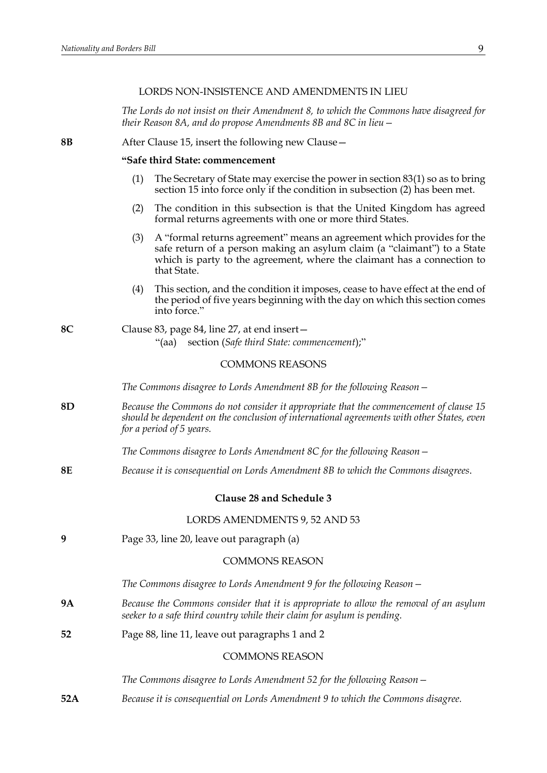## LORDS NON-INSISTENCE AND AMENDMENTS IN LIEU

*The Lords do not insist on their Amendment 8, to which the Commons have disagreed for their Reason 8A, and do propose Amendments 8B and 8C in lieu—*

**8B** After Clause 15, insert the following new Clause—

#### **"Safe third State: commencement**

- (1) The Secretary of State may exercise the power in section 83(1) so as to bring section 15 into force only if the condition in subsection (2) has been met.
- (2) The condition in this subsection is that the United Kingdom has agreed formal returns agreements with one or more third States.
- (3) A "formal returns agreement" means an agreement which provides for the safe return of a person making an asylum claim (a "claimant") to a State which is party to the agreement, where the claimant has a connection to that State.
- (4) This section, and the condition it imposes, cease to have effect at the end of the period of five years beginning with the day on which this section comes into force."
- **8C** Clause 83, page 84, line 27, at end insert— "(aa) section (*Safe third State: commencement*);"

## COMMONS REASONS

*The Commons disagree to Lords Amendment 8B for the following Reason—*  **8D** *Because the Commons do not consider it appropriate that the commencement of clause 15 should be dependent on the conclusion of international agreements with other States, even for a period of 5 years. The Commons disagree to Lords Amendment 8C for the following Reason—* **8E** *Because it is consequential on Lords Amendment 8B to which the Commons disagrees*. **Clause 28 and Schedule 3** LORDS AMENDMENTS 9, 52 AND 53 **9** Page 33, line 20, leave out paragraph (a) COMMONS REASON *The Commons disagree to Lords Amendment 9 for the following Reason—* **9A** *Because the Commons consider that it is appropriate to allow the removal of an asylum seeker to a safe third country while their claim for asylum is pending.* **52** Page 88, line 11, leave out paragraphs 1 and 2 COMMONS REASON *The Commons disagree to Lords Amendment 52 for the following Reason—* **52A** *Because it is consequential on Lords Amendment 9 to which the Commons disagree.*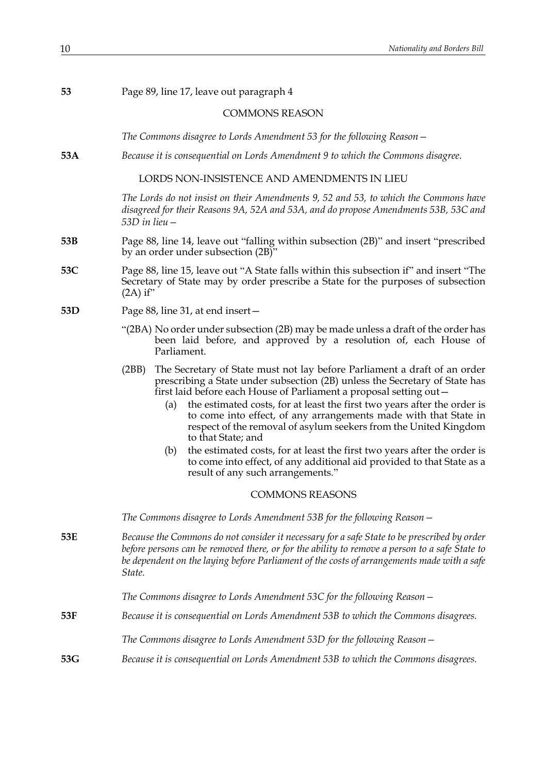| 53                    | Page 89, line 17, leave out paragraph 4                                                                                                                                                                                                                                                                                                                                                                                                                                                                                                                                     |  |
|-----------------------|-----------------------------------------------------------------------------------------------------------------------------------------------------------------------------------------------------------------------------------------------------------------------------------------------------------------------------------------------------------------------------------------------------------------------------------------------------------------------------------------------------------------------------------------------------------------------------|--|
| <b>COMMONS REASON</b> |                                                                                                                                                                                                                                                                                                                                                                                                                                                                                                                                                                             |  |
|                       | The Commons disagree to Lords Amendment 53 for the following Reason $-$                                                                                                                                                                                                                                                                                                                                                                                                                                                                                                     |  |
| 53A                   | Because it is consequential on Lords Amendment 9 to which the Commons disagree.                                                                                                                                                                                                                                                                                                                                                                                                                                                                                             |  |
|                       | LORDS NON-INSISTENCE AND AMENDMENTS IN LIEU                                                                                                                                                                                                                                                                                                                                                                                                                                                                                                                                 |  |
|                       | The Lords do not insist on their Amendments 9, 52 and 53, to which the Commons have<br>disagreed for their Reasons 9A, 52A and 53A, and do propose Amendments 53B, 53C and<br>53D in lieu -                                                                                                                                                                                                                                                                                                                                                                                 |  |
| 53B                   | Page 88, line 14, leave out "falling within subsection (2B)" and insert "prescribed<br>by an order under subsection (2B)"                                                                                                                                                                                                                                                                                                                                                                                                                                                   |  |
| 53C                   | Page 88, line 15, leave out "A State falls within this subsection if" and insert "The<br>Secretary of State may by order prescribe a State for the purposes of subsection<br>$(2A)$ if"                                                                                                                                                                                                                                                                                                                                                                                     |  |
| 53D                   | Page 88, line 31, at end insert-                                                                                                                                                                                                                                                                                                                                                                                                                                                                                                                                            |  |
|                       | "(2BA) No order under subsection (2B) may be made unless a draft of the order has<br>been laid before, and approved by a resolution of, each House of<br>Parliament.                                                                                                                                                                                                                                                                                                                                                                                                        |  |
|                       | The Secretary of State must not lay before Parliament a draft of an order<br>(2BB)<br>prescribing a State under subsection (2B) unless the Secretary of State has<br>first laid before each House of Parliament a proposal setting out-<br>the estimated costs, for at least the first two years after the order is<br>(a)<br>to come into effect, of any arrangements made with that State in<br>respect of the removal of asylum seekers from the United Kingdom<br>to that State; and<br>the estimated costs, for at least the first two years after the order is<br>(b) |  |
|                       | to come into effect, of any additional aid provided to that State as a<br>result of any such arrangements."                                                                                                                                                                                                                                                                                                                                                                                                                                                                 |  |
|                       | <b>COMMONS REASONS</b>                                                                                                                                                                                                                                                                                                                                                                                                                                                                                                                                                      |  |
|                       | The Commons disagree to Lords Amendment 53B for the following Reason -                                                                                                                                                                                                                                                                                                                                                                                                                                                                                                      |  |
| 53E                   | Because the Commons do not consider it necessary for a safe State to be prescribed by order<br>before persons can be removed there, or for the ability to remove a person to a safe State to<br>be dependent on the laying before Parliament of the costs of arrangements made with a safe<br>State.                                                                                                                                                                                                                                                                        |  |
|                       | The Commons disagree to Lords Amendment 53C for the following Reason –                                                                                                                                                                                                                                                                                                                                                                                                                                                                                                      |  |
| 53F                   | Because it is consequential on Lords Amendment 53B to which the Commons disagrees.                                                                                                                                                                                                                                                                                                                                                                                                                                                                                          |  |
|                       | The Commons disagree to Lords Amendment 53D for the following Reason -                                                                                                                                                                                                                                                                                                                                                                                                                                                                                                      |  |
| 53G                   | Because it is consequential on Lords Amendment 53B to which the Commons disagrees.                                                                                                                                                                                                                                                                                                                                                                                                                                                                                          |  |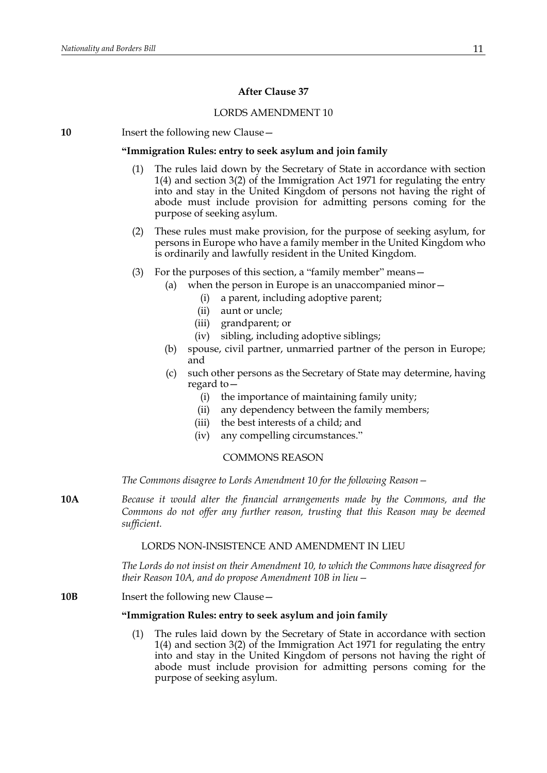## **After Clause 37**

#### LORDS AMENDMENT 10

**10** Insert the following new Clause—

#### **"Immigration Rules: entry to seek asylum and join family**

- (1) The rules laid down by the Secretary of State in accordance with section 1(4) and section 3(2) of the Immigration Act 1971 for regulating the entry into and stay in the United Kingdom of persons not having the right of abode must include provision for admitting persons coming for the purpose of seeking asylum.
- (2) These rules must make provision, for the purpose of seeking asylum, for persons in Europe who have a family member in the United Kingdom who is ordinarily and lawfully resident in the United Kingdom.
- (3) For the purposes of this section, a "family member" means—
	- (a) when the person in Europe is an unaccompanied minor—
		- (i) a parent, including adoptive parent;
		- (ii) aunt or uncle;
		- (iii) grandparent; or
		- (iv) sibling, including adoptive siblings;
	- (b) spouse, civil partner, unmarried partner of the person in Europe; and
	- (c) such other persons as the Secretary of State may determine, having regard to—
		- (i) the importance of maintaining family unity;
		- (ii) any dependency between the family members;
		- (iii) the best interests of a child; and
		- (iv) any compelling circumstances."

## COMMONS REASON

*The Commons disagree to Lords Amendment 10 for the following Reason—*

**10A** *Because it would alter the financial arrangements made by the Commons, and the Commons do not offer any further reason, trusting that this Reason may be deemed sufficient.*

## LORDS NON-INSISTENCE AND AMENDMENT IN LIEU

*The Lords do not insist on their Amendment 10, to which the Commons have disagreed for their Reason 10A, and do propose Amendment 10B in lieu—*

**10B** Insert the following new Clause -

#### **"Immigration Rules: entry to seek asylum and join family**

The rules laid down by the Secretary of State in accordance with section 1(4) and section 3(2) of the Immigration Act 1971 for regulating the entry into and stay in the United Kingdom of persons not having the right of abode must include provision for admitting persons coming for the purpose of seeking asylum.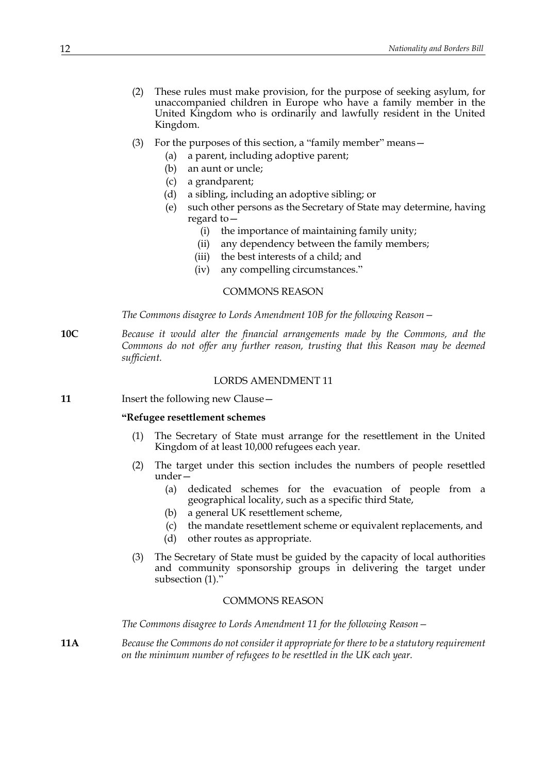- (2) These rules must make provision, for the purpose of seeking asylum, for unaccompanied children in Europe who have a family member in the United Kingdom who is ordinarily and lawfully resident in the United Kingdom.
- (3) For the purposes of this section, a "family member" means—
	- (a) a parent, including adoptive parent;
	- (b) an aunt or uncle;
	- (c) a grandparent;
	- (d) a sibling, including an adoptive sibling; or
	- (e) such other persons as the Secretary of State may determine, having regard to—
		- (i) the importance of maintaining family unity;
		- (ii) any dependency between the family members;
		- (iii) the best interests of a child; and
		- (iv) any compelling circumstances."

## COMMONS REASON

*The Commons disagree to Lords Amendment 10B for the following Reason—*

**10C** *Because it would alter the financial arrangements made by the Commons, and the Commons do not offer any further reason, trusting that this Reason may be deemed sufficient.*

#### LORDS AMENDMENT 11

**11** Insert the following new Clause –

#### **"Refugee resettlement schemes**

- (1) The Secretary of State must arrange for the resettlement in the United Kingdom of at least 10,000 refugees each year.
- (2) The target under this section includes the numbers of people resettled under—
	- (a) dedicated schemes for the evacuation of people from a geographical locality, such as a specific third State,
	- (b) a general UK resettlement scheme,
	- (c) the mandate resettlement scheme or equivalent replacements, and
	- (d) other routes as appropriate.
- (3) The Secretary of State must be guided by the capacity of local authorities and community sponsorship groups in delivering the target under subsection (1)."

## COMMONS REASON

*The Commons disagree to Lords Amendment 11 for the following Reason—*

**11A** *Because the Commons do not consider it appropriate for there to be a statutory requirement on the minimum number of refugees to be resettled in the UK each year.*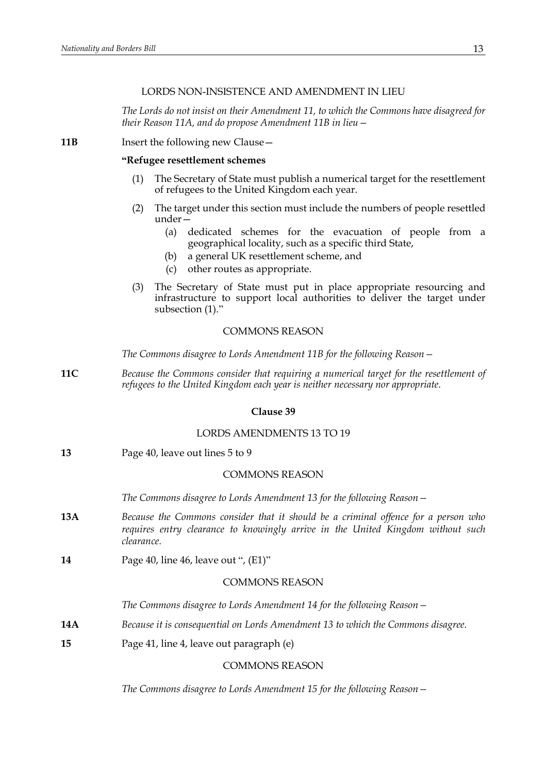## LORDS NON-INSISTENCE AND AMENDMENT IN LIEU

*The Lords do not insist on their Amendment 11, to which the Commons have disagreed for their Reason 11A, and do propose Amendment 11B in lieu—*

**11B** Insert the following new Clause -

#### **"Refugee resettlement schemes**

- (1) The Secretary of State must publish a numerical target for the resettlement of refugees to the United Kingdom each year.
- (2) The target under this section must include the numbers of people resettled under—
	- (a) dedicated schemes for the evacuation of people from a geographical locality, such as a specific third State,
	- (b) a general UK resettlement scheme, and
	- (c) other routes as appropriate.
- (3) The Secretary of State must put in place appropriate resourcing and infrastructure to support local authorities to deliver the target under subsection (1)."

#### COMMONS REASON

*The Commons disagree to Lords Amendment 11B for the following Reason—*

**11C** *Because the Commons consider that requiring a numerical target for the resettlement of refugees to the United Kingdom each year is neither necessary nor appropriate.*

#### **Clause 39**

## LORDS AMENDMENTS 13 TO 19

**13** Page 40, leave out lines 5 to 9

#### COMMONS REASON

*The Commons disagree to Lords Amendment 13 for the following Reason—*

- **13A** *Because the Commons consider that it should be a criminal offence for a person who requires entry clearance to knowingly arrive in the United Kingdom without such clearance.*
- **14** Page 40, line 46, leave out ", (E1)"

## COMMONS REASON

*The Commons disagree to Lords Amendment 14 for the following Reason—*

- **14A** *Because it is consequential on Lords Amendment 13 to which the Commons disagree.*
- **15** Page 41, line 4, leave out paragraph (e)

## COMMONS REASON

*The Commons disagree to Lords Amendment 15 for the following Reason—*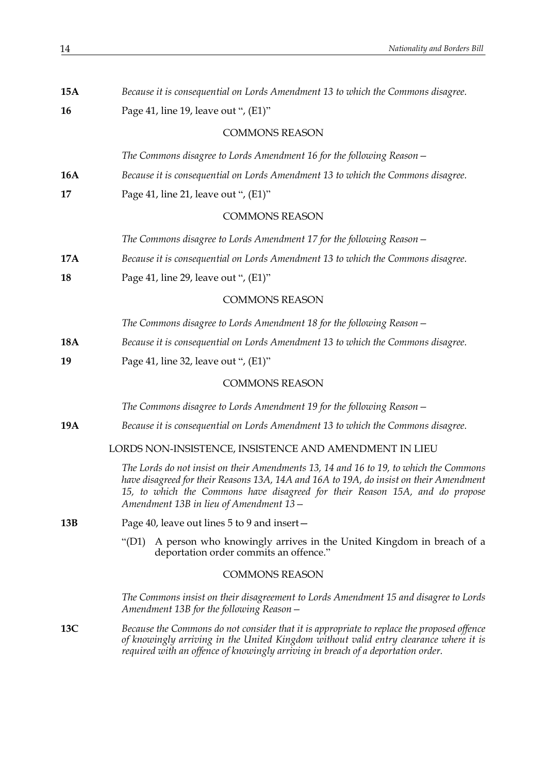| 15A        | Because it is consequential on Lords Amendment 13 to which the Commons disagree.                                                                                                                                                                                                                           |
|------------|------------------------------------------------------------------------------------------------------------------------------------------------------------------------------------------------------------------------------------------------------------------------------------------------------------|
| 16         | Page 41, line 19, leave out ", (E1)"                                                                                                                                                                                                                                                                       |
|            | <b>COMMONS REASON</b>                                                                                                                                                                                                                                                                                      |
|            | The Commons disagree to Lords Amendment 16 for the following Reason –                                                                                                                                                                                                                                      |
| 16A        | Because it is consequential on Lords Amendment 13 to which the Commons disagree.                                                                                                                                                                                                                           |
| 17         | Page 41, line 21, leave out ", (E1)"                                                                                                                                                                                                                                                                       |
|            | <b>COMMONS REASON</b>                                                                                                                                                                                                                                                                                      |
|            | The Commons disagree to Lords Amendment 17 for the following Reason -                                                                                                                                                                                                                                      |
| <b>17A</b> | Because it is consequential on Lords Amendment 13 to which the Commons disagree.                                                                                                                                                                                                                           |
| 18         | Page 41, line 29, leave out ", (E1)"                                                                                                                                                                                                                                                                       |
|            | <b>COMMONS REASON</b>                                                                                                                                                                                                                                                                                      |
|            | The Commons disagree to Lords Amendment 18 for the following Reason -                                                                                                                                                                                                                                      |
| <b>18A</b> | Because it is consequential on Lords Amendment 13 to which the Commons disagree.                                                                                                                                                                                                                           |
| 19         | Page 41, line 32, leave out ", $(E1)$ "                                                                                                                                                                                                                                                                    |
|            | <b>COMMONS REASON</b>                                                                                                                                                                                                                                                                                      |
|            | The Commons disagree to Lords Amendment 19 for the following Reason –                                                                                                                                                                                                                                      |
| <b>19A</b> | Because it is consequential on Lords Amendment 13 to which the Commons disagree.                                                                                                                                                                                                                           |
|            | LORDS NON-INSISTENCE, INSISTENCE AND AMENDMENT IN LIEU                                                                                                                                                                                                                                                     |
|            | The Lords do not insist on their Amendments 13, 14 and 16 to 19, to which the Commons<br>have disagreed for their Reasons 13A, 14A and 16A to 19A, do insist on their Amendment<br>15, to which the Commons have disagreed for their Reason 15A, and do propose<br>Amendment 13B in lieu of Amendment 13 - |
| 13B        | Page 40, leave out lines 5 to 9 and insert-                                                                                                                                                                                                                                                                |
|            | A person who knowingly arrives in the United Kingdom in breach of a<br>"(D1)<br>deportation order commits an offence."                                                                                                                                                                                     |
|            | <b>COMMONS REASON</b>                                                                                                                                                                                                                                                                                      |
|            | The Commons insist on their disagreement to Lords Amendment 15 and disagree to Lords<br>Amendment 13B for the following Reason –                                                                                                                                                                           |
| 13C        | Because the Commons do not consider that it is appropriate to replace the proposed offence<br>of knowingly arriving in the United Kingdom without valid entry clearance where it is<br>required with an offence of knowingly arriving in breach of a deportation order.                                    |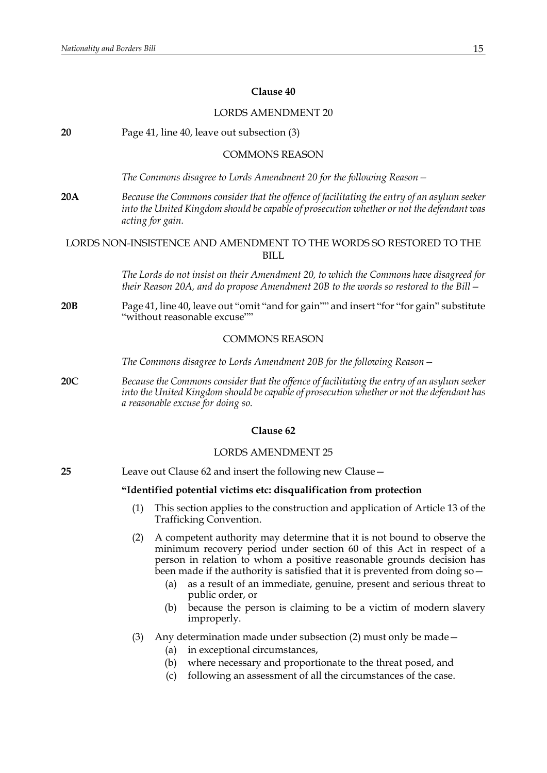## **Clause 40**

# LORDS AMENDMENT 20 **20** Page 41, line 40, leave out subsection (3) COMMONS REASON *The Commons disagree to Lords Amendment 20 for the following Reason—* **20A** *Because the Commons consider that the offence of facilitating the entry of an asylum seeker into the United Kingdom should be capable of prosecution whether or not the defendant was acting for gain.* LORDS NON-INSISTENCE AND AMENDMENT TO THE WORDS SO RESTORED TO THE **BILL** *The Lords do not insist on their Amendment 20, to which the Commons have disagreed for their Reason 20A, and do propose Amendment 20B to the words so restored to the Bill—* **20B** Page 41, line 40, leave out "omit "and for gain"" and insert "for "for gain" substitute "without reasonable excuse"" COMMONS REASON *The Commons disagree to Lords Amendment 20B for the following Reason—* **20C** *Because the Commons consider that the offence of facilitating the entry of an asylum seeker into the United Kingdom should be capable of prosecution whether or not the defendant has a reasonable excuse for doing so.* **Clause 62** LORDS AMENDMENT 25 **25** Leave out Clause 62 and insert the following new Clause— **"Identified potential victims etc: disqualification from protection** (1) This section applies to the construction and application of Article 13 of the Trafficking Convention. (2) A competent authority may determine that it is not bound to observe the minimum recovery period under section 60 of this Act in respect of a person in relation to whom a positive reasonable grounds decision has been made if the authority is satisfied that it is prevented from doing so as a result of an immediate, genuine, present and serious threat to public order, or (b) because the person is claiming to be a victim of modern slavery improperly.

- (3) Any determination made under subsection (2) must only be made—
	- (a) in exceptional circumstances,
	- (b) where necessary and proportionate to the threat posed, and
	- (c) following an assessment of all the circumstances of the case.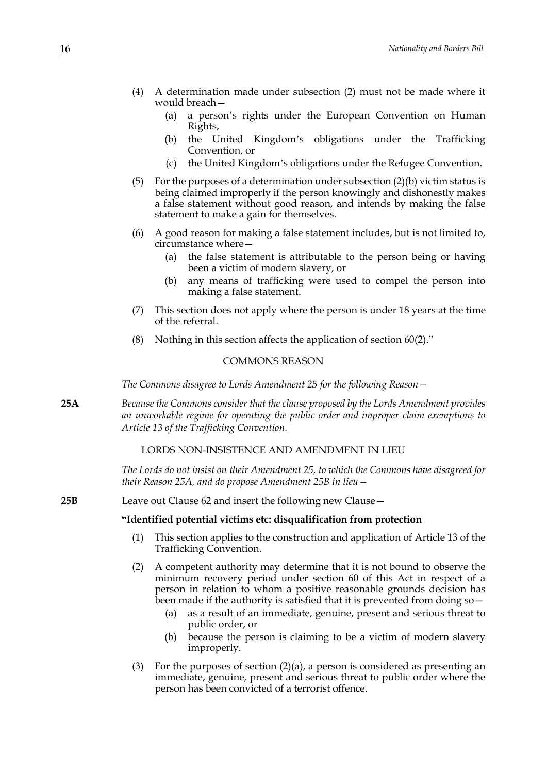- (4) A determination made under subsection (2) must not be made where it would breach—
	- (a) a person's rights under the European Convention on Human Rights,
	- (b) the United Kingdom's obligations under the Trafficking Convention, or
	- (c) the United Kingdom's obligations under the Refugee Convention.
- (5) For the purposes of a determination under subsection  $(2)(b)$  victim status is being claimed improperly if the person knowingly and dishonestly makes a false statement without good reason, and intends by making the false statement to make a gain for themselves.
- (6) A good reason for making a false statement includes, but is not limited to, circumstance where—
	- (a) the false statement is attributable to the person being or having been a victim of modern slavery, or
	- (b) any means of trafficking were used to compel the person into making a false statement.
- (7) This section does not apply where the person is under 18 years at the time of the referral.
- (8) Nothing in this section affects the application of section 60(2)."

### COMMONS REASON

*The Commons disagree to Lords Amendment 25 for the following Reason—*

**25A** *Because the Commons consider that the clause proposed by the Lords Amendment provides an unworkable regime for operating the public order and improper claim exemptions to Article 13 of the Trafficking Convention.*

## LORDS NON-INSISTENCE AND AMENDMENT IN LIEU

*The Lords do not insist on their Amendment 25, to which the Commons have disagreed for their Reason 25A, and do propose Amendment 25B in lieu—*

**25B** Leave out Clause 62 and insert the following new Clause—

#### **"Identified potential victims etc: disqualification from protection**

- (1) This section applies to the construction and application of Article 13 of the Trafficking Convention.
- (2) A competent authority may determine that it is not bound to observe the minimum recovery period under section 60 of this Act in respect of a person in relation to whom a positive reasonable grounds decision has been made if the authority is satisfied that it is prevented from doing so—
	- (a) as a result of an immediate, genuine, present and serious threat to public order, or
	- (b) because the person is claiming to be a victim of modern slavery improperly.
- (3) For the purposes of section  $(2)(a)$ , a person is considered as presenting an immediate, genuine, present and serious threat to public order where the person has been convicted of a terrorist offence.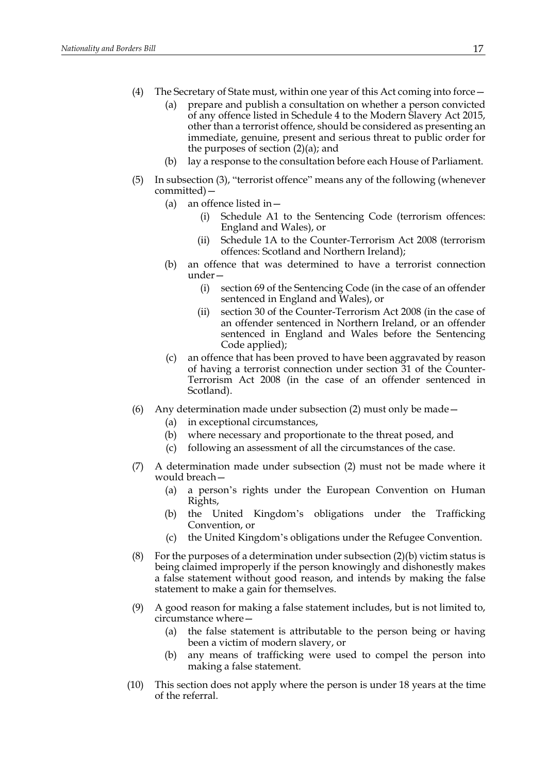- (4) The Secretary of State must, within one year of this Act coming into force—
	- (a) prepare and publish a consultation on whether a person convicted of any offence listed in Schedule 4 to the Modern Slavery Act 2015, other than a terrorist offence, should be considered as presenting an immediate, genuine, present and serious threat to public order for the purposes of section  $(2)(a)$ ; and
	- (b) lay a response to the consultation before each House of Parliament.
- (5) In subsection (3), "terrorist offence" means any of the following (whenever committed)—
	- (a) an offence listed in—
		- (i) Schedule A1 to the Sentencing Code (terrorism offences: England and Wales), or
		- (ii) Schedule 1A to the Counter-Terrorism Act 2008 (terrorism offences: Scotland and Northern Ireland);
	- (b) an offence that was determined to have a terrorist connection under—
		- (i) section 69 of the Sentencing Code (in the case of an offender sentenced in England and Wales), or
		- (ii) section 30 of the Counter-Terrorism Act 2008 (in the case of an offender sentenced in Northern Ireland, or an offender sentenced in England and Wales before the Sentencing Code applied);
	- (c) an offence that has been proved to have been aggravated by reason of having a terrorist connection under section 31 of the Counter-Terrorism Act 2008 (in the case of an offender sentenced in Scotland).
- (6) Any determination made under subsection (2) must only be made—
	- (a) in exceptional circumstances,
	- (b) where necessary and proportionate to the threat posed, and
	- (c) following an assessment of all the circumstances of the case.
- (7) A determination made under subsection (2) must not be made where it would breach—
	- (a) a person's rights under the European Convention on Human Rights,
	- (b) the United Kingdom's obligations under the Trafficking Convention, or
	- (c) the United Kingdom's obligations under the Refugee Convention.
- (8) For the purposes of a determination under subsection  $(2)(b)$  victim status is being claimed improperly if the person knowingly and dishonestly makes a false statement without good reason, and intends by making the false statement to make a gain for themselves.
- (9) A good reason for making a false statement includes, but is not limited to, circumstance where—
	- (a) the false statement is attributable to the person being or having been a victim of modern slavery, or
	- (b) any means of trafficking were used to compel the person into making a false statement.
- (10) This section does not apply where the person is under 18 years at the time of the referral.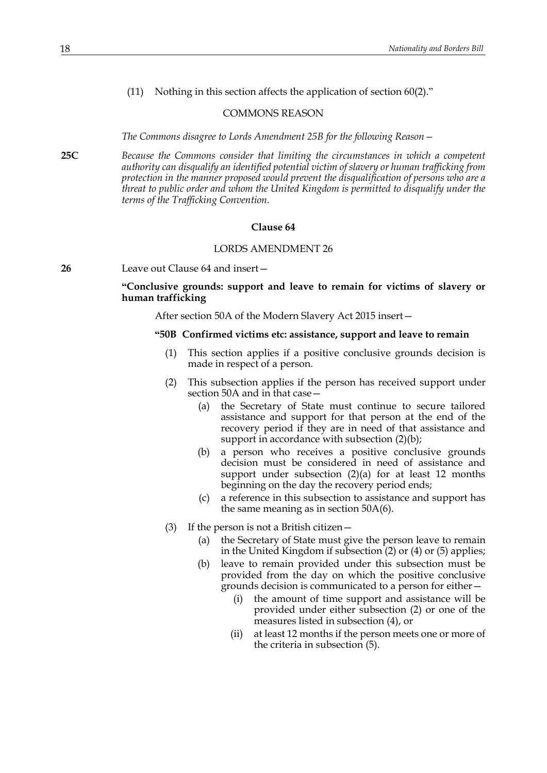(11) Nothing in this section affects the application of section 60(2)."

#### COMMONS REASON

*The Commons disagree to Lords Amendment 25B for the following Reason—*

**25C** *Because the Commons consider that limiting the circumstances in which a competent authority can disqualify an identified potential victim of slavery or human trafficking from protection in the manner proposed would prevent the disqualification of persons who are a threat to public order and whom the United Kingdom is permitted to disqualify under the terms of the Trafficking Convention.*

#### **Clause 64**

#### LORDS AMENDMENT 26

**26** Leave out Clause 64 and insert—

## **"Conclusive grounds: support and leave to remain for victims of slavery or human trafficking**

After section 50A of the Modern Slavery Act 2015 insert—

#### **"50B Confirmed victims etc: assistance, support and leave to remain**

- (1) This section applies if a positive conclusive grounds decision is made in respect of a person.
- (2) This subsection applies if the person has received support under section 50A and in that case—
	- (a) the Secretary of State must continue to secure tailored assistance and support for that person at the end of the recovery period if they are in need of that assistance and support in accordance with subsection (2)(b);
	- (b) a person who receives a positive conclusive grounds decision must be considered in need of assistance and support under subsection  $(2)(a)$  for at least 12 months beginning on the day the recovery period ends;
	- (c) a reference in this subsection to assistance and support has the same meaning as in section 50A(6).
- (3) If the person is not a British citizen
	- the Secretary of State must give the person leave to remain in the United Kingdom if subsection (2) or (4) or (5) applies;
	- (b) leave to remain provided under this subsection must be provided from the day on which the positive conclusive grounds decision is communicated to a person for either—
		- (i) the amount of time support and assistance will be provided under either subsection (2) or one of the measures listed in subsection (4), or
		- (ii) at least 12 months if the person meets one or more of the criteria in subsection (5).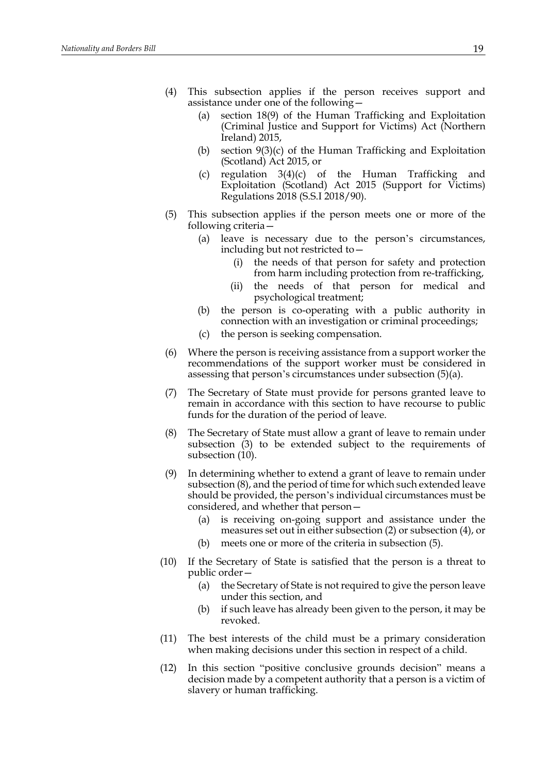- (4) This subsection applies if the person receives support and assistance under one of the following—
	- (a) section 18(9) of the Human Trafficking and Exploitation (Criminal Justice and Support for Victims) Act (Northern Ireland) 2015,
	- (b) section 9(3)(c) of the Human Trafficking and Exploitation (Scotland) Act 2015, or
	- (c) regulation 3(4)(c) of the Human Trafficking and Exploitation (Scotland) Act 2015 (Support for Victims) Regulations 2018 (S.S.I 2018/90).
- (5) This subsection applies if the person meets one or more of the following criteria—
	- (a) leave is necessary due to the person's circumstances, including but not restricted to—
		- (i) the needs of that person for safety and protection from harm including protection from re-trafficking,
		- (ii) the needs of that person for medical and psychological treatment;
	- (b) the person is co-operating with a public authority in connection with an investigation or criminal proceedings;
	- (c) the person is seeking compensation.
- (6) Where the person is receiving assistance from a support worker the recommendations of the support worker must be considered in assessing that person's circumstances under subsection (5)(a).
- (7) The Secretary of State must provide for persons granted leave to remain in accordance with this section to have recourse to public funds for the duration of the period of leave.
- (8) The Secretary of State must allow a grant of leave to remain under subsection (3) to be extended subject to the requirements of subsection (10).
- (9) In determining whether to extend a grant of leave to remain under subsection (8), and the period of time for which such extended leave should be provided, the person's individual circumstances must be considered, and whether that person—
	- (a) is receiving on-going support and assistance under the measures set out in either subsection (2) or subsection (4), or
	- (b) meets one or more of the criteria in subsection (5).
- (10) If the Secretary of State is satisfied that the person is a threat to public order—
	- (a) the Secretary of State is not required to give the person leave under this section, and
	- (b) if such leave has already been given to the person, it may be revoked.
- (11) The best interests of the child must be a primary consideration when making decisions under this section in respect of a child.
- (12) In this section "positive conclusive grounds decision" means a decision made by a competent authority that a person is a victim of slavery or human trafficking.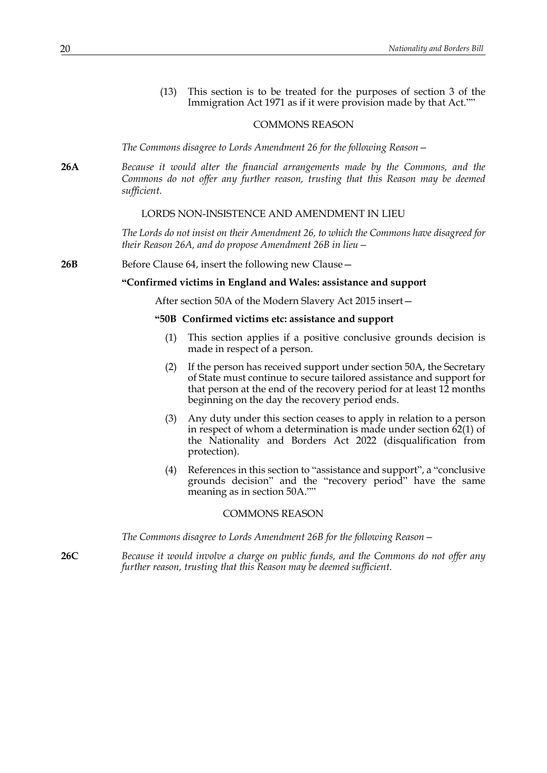(13) This section is to be treated for the purposes of section 3 of the Immigration Act 1971 as if it were provision made by that Act.""

#### COMMONS REASON

*The Commons disagree to Lords Amendment 26 for the following Reason—*

**26A** *Because it would alter the financial arrangements made by the Commons, and the Commons do not offer any further reason, trusting that this Reason may be deemed sufficient.*

#### LORDS NON-INSISTENCE AND AMENDMENT IN LIEU

*The Lords do not insist on their Amendment 26, to which the Commons have disagreed for their Reason 26A, and do propose Amendment 26B in lieu—*

#### **26B** Before Clause 64, insert the following new Clause –

#### **"Confirmed victims in England and Wales: assistance and support**

After section 50A of the Modern Slavery Act 2015 insert—

## **"50B Confirmed victims etc: assistance and support**

- (1) This section applies if a positive conclusive grounds decision is made in respect of a person.
- (2) If the person has received support under section 50A, the Secretary of State must continue to secure tailored assistance and support for that person at the end of the recovery period for at least 12 months beginning on the day the recovery period ends.
- (3) Any duty under this section ceases to apply in relation to a person in respect of whom a determination is made under section 62(1) of the Nationality and Borders Act 2022 (disqualification from protection).
- (4) References in this section to "assistance and support", a "conclusive grounds decision" and the "recovery period" have the same meaning as in section 50A.""

#### COMMONS REASON

*The Commons disagree to Lords Amendment 26B for the following Reason—*

**26C** *Because it would involve a charge on public funds, and the Commons do not offer any further reason, trusting that this Reason may be deemed sufficient.*